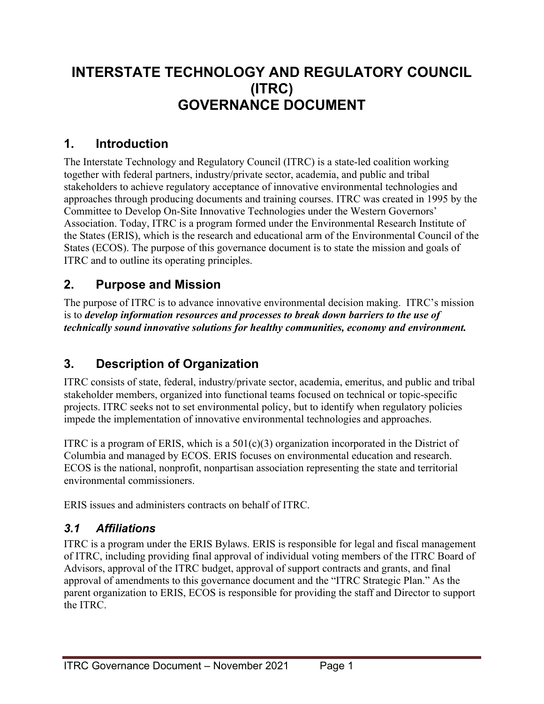# **INTERSTATE TECHNOLOGY AND REGULATORY COUNCIL (ITRC) GOVERNANCE DOCUMENT**

### **1. Introduction**

The Interstate Technology and Regulatory Council (ITRC) is a state-led coalition working together with federal partners, industry/private sector, academia, and public and tribal stakeholders to achieve regulatory acceptance of innovative environmental technologies and approaches through producing documents and training courses. ITRC was created in 1995 by the Committee to Develop On-Site Innovative Technologies under the Western Governors' Association. Today, ITRC is a program formed under the Environmental Research Institute of the States (ERIS), which is the research and educational arm of the Environmental Council of the States (ECOS). The purpose of this governance document is to state the mission and goals of ITRC and to outline its operating principles.

### **2. Purpose and Mission**

The purpose of ITRC is to advance innovative environmental decision making. ITRC's mission is to *develop information resources and processes to break down barriers to the use of technically sound innovative solutions for healthy communities, economy and environment.*

## **3. Description of Organization**

ITRC consists of state, federal, industry/private sector, academia, emeritus, and public and tribal stakeholder members, organized into functional teams focused on technical or topic-specific projects. ITRC seeks not to set environmental policy, but to identify when regulatory policies impede the implementation of innovative environmental technologies and approaches.

ITRC is a program of ERIS, which is a  $501(c)(3)$  organization incorporated in the District of Columbia and managed by ECOS. ERIS focuses on environmental education and research. ECOS is the national, nonprofit, nonpartisan association representing the state and territorial environmental commissioners.

ERIS issues and administers contracts on behalf of ITRC.

### *3.1 Affiliations*

ITRC is a program under the ERIS Bylaws. ERIS is responsible for legal and fiscal management of ITRC, including providing final approval of individual voting members of the ITRC Board of Advisors, approval of the ITRC budget, approval of support contracts and grants, and final approval of amendments to this governance document and the "ITRC Strategic Plan." As the parent organization to ERIS, ECOS is responsible for providing the staff and Director to support the ITRC.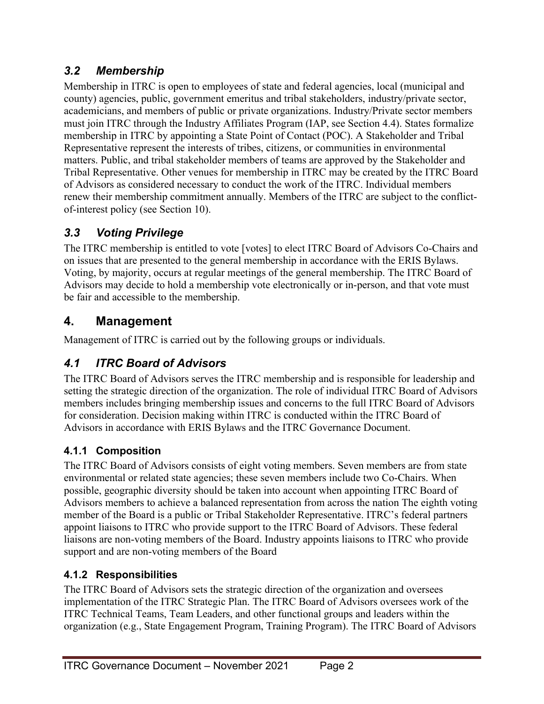### *3.2 Membership*

Membership in ITRC is open to employees of state and federal agencies, local (municipal and county) agencies, public, government emeritus and tribal stakeholders, industry/private sector, academicians, and members of public or private organizations. Industry/Private sector members must join ITRC through the Industry Affiliates Program (IAP, see Section 4.4). States formalize membership in ITRC by appointing a State Point of Contact (POC). A Stakeholder and Tribal Representative represent the interests of tribes, citizens, or communities in environmental matters. Public, and tribal stakeholder members of teams are approved by the Stakeholder and Tribal Representative. Other venues for membership in ITRC may be created by the ITRC Board of Advisors as considered necessary to conduct the work of the ITRC. Individual members renew their membership commitment annually. Members of the ITRC are subject to the conflictof-interest policy (see Section 10).

### *3.3 Voting Privilege*

The ITRC membership is entitled to vote [votes] to elect ITRC Board of Advisors Co-Chairs and on issues that are presented to the general membership in accordance with the ERIS Bylaws. Voting, by majority, occurs at regular meetings of the general membership. The ITRC Board of Advisors may decide to hold a membership vote electronically or in-person, and that vote must be fair and accessible to the membership.

### **4. Management**

Management of ITRC is carried out by the following groups or individuals.

## *4.1 ITRC Board of Advisors*

The ITRC Board of Advisors serves the ITRC membership and is responsible for leadership and setting the strategic direction of the organization. The role of individual ITRC Board of Advisors members includes bringing membership issues and concerns to the full ITRC Board of Advisors for consideration. Decision making within ITRC is conducted within the ITRC Board of Advisors in accordance with ERIS Bylaws and the ITRC Governance Document.

### **4.1.1 Composition**

The ITRC Board of Advisors consists of eight voting members. Seven members are from state environmental or related state agencies; these seven members include two Co-Chairs. When possible, geographic diversity should be taken into account when appointing ITRC Board of Advisors members to achieve a balanced representation from across the nation The eighth voting member of the Board is a public or Tribal Stakeholder Representative. ITRC's federal partners appoint liaisons to ITRC who provide support to the ITRC Board of Advisors. These federal liaisons are non-voting members of the Board. Industry appoints liaisons to ITRC who provide support and are non-voting members of the Board

### **4.1.2 Responsibilities**

The ITRC Board of Advisors sets the strategic direction of the organization and oversees implementation of the ITRC Strategic Plan. The ITRC Board of Advisors oversees work of the ITRC Technical Teams, Team Leaders, and other functional groups and leaders within the organization (e.g., State Engagement Program, Training Program). The ITRC Board of Advisors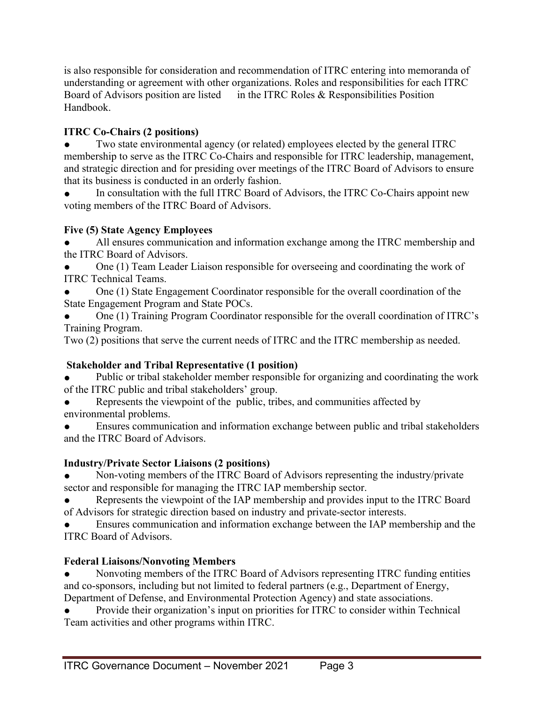is also responsible for consideration and recommendation of ITRC entering into memoranda of understanding or agreement with other organizations. Roles and responsibilities for each ITRC Board of Advisors position are listed in the ITRC Roles & Responsibilities Position Handbook.

#### **ITRC Co-Chairs (2 positions)**

Two state environmental agency (or related) employees elected by the general ITRC membership to serve as the ITRC Co-Chairs and responsible for ITRC leadership, management, and strategic direction and for presiding over meetings of the ITRC Board of Advisors to ensure that its business is conducted in an orderly fashion.

In consultation with the full ITRC Board of Advisors, the ITRC Co-Chairs appoint new voting members of the ITRC Board of Advisors.

#### **Five (5) State Agency Employees**

All ensures communication and information exchange among the ITRC membership and the ITRC Board of Advisors.

One (1) Team Leader Liaison responsible for overseeing and coordinating the work of ITRC Technical Teams.

One (1) State Engagement Coordinator responsible for the overall coordination of the State Engagement Program and State POCs.

One (1) Training Program Coordinator responsible for the overall coordination of ITRC's Training Program.

Two (2) positions that serve the current needs of ITRC and the ITRC membership as needed.

### **Stakeholder and Tribal Representative (1 position)**

Public or tribal stakeholder member responsible for organizing and coordinating the work of the ITRC public and tribal stakeholders' group.

Represents the viewpoint of the public, tribes, and communities affected by environmental problems.

Ensures communication and information exchange between public and tribal stakeholders and the ITRC Board of Advisors.

#### **Industry/Private Sector Liaisons (2 positions)**

• Non-voting members of the ITRC Board of Advisors representing the industry/private sector and responsible for managing the ITRC IAP membership sector.

Represents the viewpoint of the IAP membership and provides input to the ITRC Board of Advisors for strategic direction based on industry and private-sector interests.

Ensures communication and information exchange between the IAP membership and the ITRC Board of Advisors.

#### **Federal Liaisons/Nonvoting Members**

Nonvoting members of the ITRC Board of Advisors representing ITRC funding entities and co-sponsors, including but not limited to federal partners (e.g., Department of Energy, Department of Defense, and Environmental Protection Agency) and state associations.

Provide their organization's input on priorities for ITRC to consider within Technical Team activities and other programs within ITRC.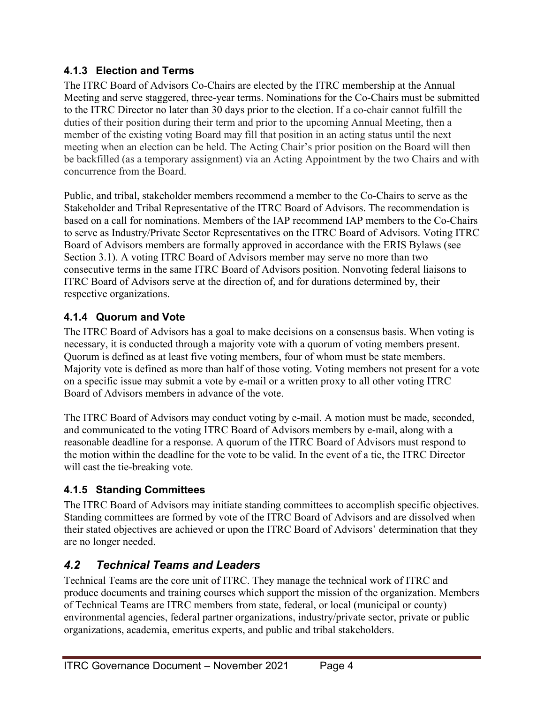#### **4.1.3 Election and Terms**

The ITRC Board of Advisors Co-Chairs are elected by the ITRC membership at the Annual Meeting and serve staggered, three-year terms. Nominations for the Co-Chairs must be submitted to the ITRC Director no later than 30 days prior to the election. If a co-chair cannot fulfill the duties of their position during their term and prior to the upcoming Annual Meeting, then a member of the existing voting Board may fill that position in an acting status until the next meeting when an election can be held. The Acting Chair's prior position on the Board will then be backfilled (as a temporary assignment) via an Acting Appointment by the two Chairs and with concurrence from the Board.

Public, and tribal, stakeholder members recommend a member to the Co-Chairs to serve as the Stakeholder and Tribal Representative of the ITRC Board of Advisors. The recommendation is based on a call for nominations. Members of the IAP recommend IAP members to the Co-Chairs to serve as Industry/Private Sector Representatives on the ITRC Board of Advisors. Voting ITRC Board of Advisors members are formally approved in accordance with the ERIS Bylaws (see Section 3.1). A voting ITRC Board of Advisors member may serve no more than two consecutive terms in the same ITRC Board of Advisors position. Nonvoting federal liaisons to ITRC Board of Advisors serve at the direction of, and for durations determined by, their respective organizations.

#### **4.1.4 Quorum and Vote**

The ITRC Board of Advisors has a goal to make decisions on a consensus basis. When voting is necessary, it is conducted through a majority vote with a quorum of voting members present. Quorum is defined as at least five voting members, four of whom must be state members. Majority vote is defined as more than half of those voting. Voting members not present for a vote on a specific issue may submit a vote by e-mail or a written proxy to all other voting ITRC Board of Advisors members in advance of the vote.

The ITRC Board of Advisors may conduct voting by e-mail. A motion must be made, seconded, and communicated to the voting ITRC Board of Advisors members by e-mail, along with a reasonable deadline for a response. A quorum of the ITRC Board of Advisors must respond to the motion within the deadline for the vote to be valid. In the event of a tie, the ITRC Director will cast the tie-breaking vote.

### **4.1.5 Standing Committees**

The ITRC Board of Advisors may initiate standing committees to accomplish specific objectives. Standing committees are formed by vote of the ITRC Board of Advisors and are dissolved when their stated objectives are achieved or upon the ITRC Board of Advisors' determination that they are no longer needed.

### *4.2 Technical Teams and Leaders*

Technical Teams are the core unit of ITRC. They manage the technical work of ITRC and produce documents and training courses which support the mission of the organization. Members of Technical Teams are ITRC members from state, federal, or local (municipal or county) environmental agencies, federal partner organizations, industry/private sector, private or public organizations, academia, emeritus experts, and public and tribal stakeholders.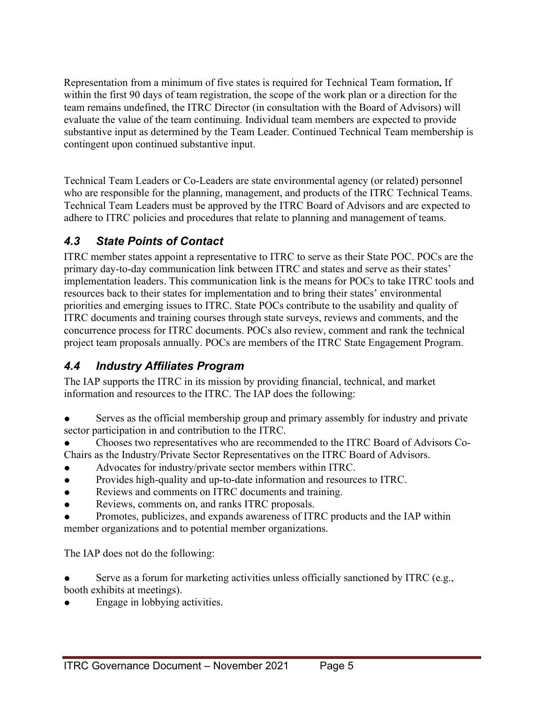Representation from a minimum of five states is required for Technical Team formation**.** If within the first 90 days of team registration, the scope of the work plan or a direction for the team remains undefined, the ITRC Director (in consultation with the Board of Advisors) will evaluate the value of the team continuing. Individual team members are expected to provide substantive input as determined by the Team Leader. Continued Technical Team membership is contingent upon continued substantive input.

Technical Team Leaders or Co-Leaders are state environmental agency (or related) personnel who are responsible for the planning, management, and products of the ITRC Technical Teams. Technical Team Leaders must be approved by the ITRC Board of Advisors and are expected to adhere to ITRC policies and procedures that relate to planning and management of teams.

### *4.3 State Points of Contact*

ITRC member states appoint a representative to ITRC to serve as their State POC. POCs are the primary day-to-day communication link between ITRC and states and serve as their states' implementation leaders. This communication link is the means for POCs to take ITRC tools and resources back to their states for implementation and to bring their states' environmental priorities and emerging issues to ITRC. State POCs contribute to the usability and quality of ITRC documents and training courses through state surveys, reviews and comments, and the concurrence process for ITRC documents. POCs also review, comment and rank the technical project team proposals annually. POCs are members of the ITRC State Engagement Program.

### *4.4 Industry Affiliates Program*

The IAP supports the ITRC in its mission by providing financial, technical, and market information and resources to the ITRC. The IAP does the following:

- Serves as the official membership group and primary assembly for industry and private sector participation in and contribution to the ITRC.
- Chooses two representatives who are recommended to the ITRC Board of Advisors Co-Chairs as the Industry/Private Sector Representatives on the ITRC Board of Advisors.
- Advocates for industry/private sector members within ITRC.
- Provides high-quality and up-to-date information and resources to ITRC.
- Reviews and comments on ITRC documents and training.
- Reviews, comments on, and ranks ITRC proposals.
- Promotes, publicizes, and expands awareness of ITRC products and the IAP within member organizations and to potential member organizations.

The IAP does not do the following:

Serve as a forum for marketing activities unless officially sanctioned by ITRC (e.g., booth exhibits at meetings).

Engage in lobbying activities.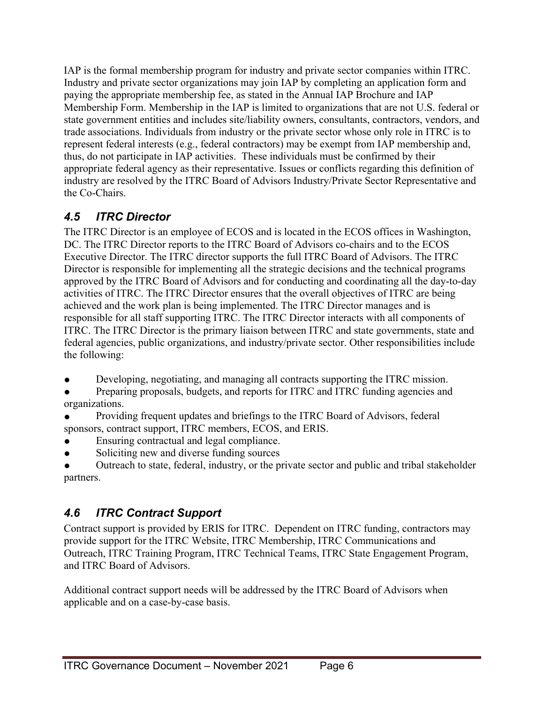IAP is the formal membership program for industry and private sector companies within ITRC. Industry and private sector organizations may join IAP by completing an application form and paying the appropriate membership fee, as stated in the Annual IAP Brochure and IAP Membership Form. Membership in the IAP is limited to organizations that are not U.S. federal or state government entities and includes site/liability owners, consultants, contractors, vendors, and trade associations. Individuals from industry or the private sector whose only role in ITRC is to represent federal interests (e.g., federal contractors) may be exempt from IAP membership and, thus, do not participate in IAP activities. These individuals must be confirmed by their appropriate federal agency as their representative. Issues or conflicts regarding this definition of industry are resolved by the ITRC Board of Advisors Industry/Private Sector Representative and the Co-Chairs.

### *4.5 ITRC Director*

The ITRC Director is an employee of ECOS and is located in the ECOS offices in Washington, DC. The ITRC Director reports to the ITRC Board of Advisors co-chairs and to the ECOS Executive Director. The ITRC director supports the full ITRC Board of Advisors. The ITRC Director is responsible for implementing all the strategic decisions and the technical programs approved by the ITRC Board of Advisors and for conducting and coordinating all the day-to-day activities of ITRC. The ITRC Director ensures that the overall objectives of ITRC are being achieved and the work plan is being implemented. The ITRC Director manages and is responsible for all staff supporting ITRC. The ITRC Director interacts with all components of ITRC. The ITRC Director is the primary liaison between ITRC and state governments, state and federal agencies, public organizations, and industry/private sector. Other responsibilities include the following:

- Developing, negotiating, and managing all contracts supporting the ITRC mission.
- Preparing proposals, budgets, and reports for ITRC and ITRC funding agencies and organizations.
- Providing frequent updates and briefings to the ITRC Board of Advisors, federal sponsors, contract support, ITRC members, ECOS, and ERIS.
- Ensuring contractual and legal compliance.
- Soliciting new and diverse funding sources
- Outreach to state, federal, industry, or the private sector and public and tribal stakeholder partners.

## *4.6 ITRC Contract Support*

Contract support is provided by ERIS for ITRC. Dependent on ITRC funding, contractors may provide support for the ITRC Website, ITRC Membership, ITRC Communications and Outreach, ITRC Training Program, ITRC Technical Teams, ITRC State Engagement Program, and ITRC Board of Advisors.

Additional contract support needs will be addressed by the ITRC Board of Advisors when applicable and on a case-by-case basis.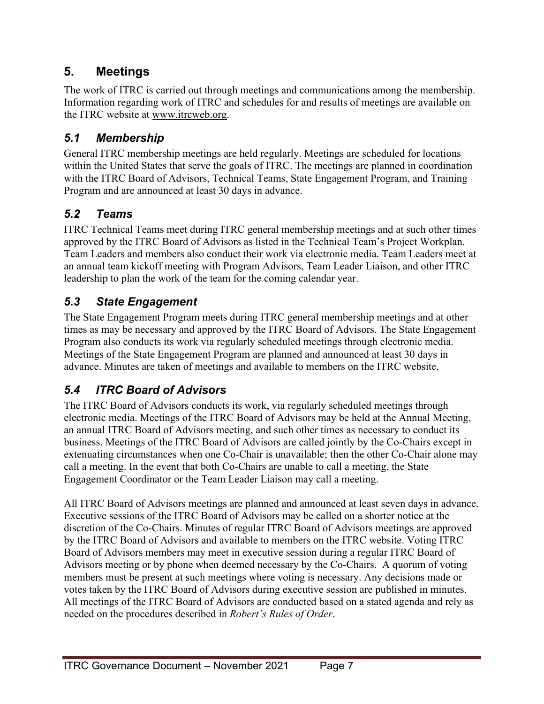## **5. Meetings**

The work of ITRC is carried out through meetings and communications among the membership. Information regarding work of ITRC and schedules for and results of meetings are available on the ITRC website at www.itrcweb.org.

### *5.1 Membership*

General ITRC membership meetings are held regularly. Meetings are scheduled for locations within the United States that serve the goals of ITRC. The meetings are planned in coordination with the ITRC Board of Advisors, Technical Teams, State Engagement Program, and Training Program and are announced at least 30 days in advance.

### *5.2 Teams*

ITRC Technical Teams meet during ITRC general membership meetings and at such other times approved by the ITRC Board of Advisors as listed in the Technical Team's Project Workplan. Team Leaders and members also conduct their work via electronic media. Team Leaders meet at an annual team kickoff meeting with Program Advisors, Team Leader Liaison, and other ITRC leadership to plan the work of the team for the coming calendar year.

## *5.3 State Engagement*

The State Engagement Program meets during ITRC general membership meetings and at other times as may be necessary and approved by the ITRC Board of Advisors. The State Engagement Program also conducts its work via regularly scheduled meetings through electronic media. Meetings of the State Engagement Program are planned and announced at least 30 days in advance. Minutes are taken of meetings and available to members on the ITRC website.

## *5.4 ITRC Board of Advisors*

The ITRC Board of Advisors conducts its work, via regularly scheduled meetings through electronic media. Meetings of the ITRC Board of Advisors may be held at the Annual Meeting, an annual ITRC Board of Advisors meeting, and such other times as necessary to conduct its business. Meetings of the ITRC Board of Advisors are called jointly by the Co-Chairs except in extenuating circumstances when one Co-Chair is unavailable; then the other Co-Chair alone may call a meeting. In the event that both Co-Chairs are unable to call a meeting, the State Engagement Coordinator or the Team Leader Liaison may call a meeting.

All ITRC Board of Advisors meetings are planned and announced at least seven days in advance. Executive sessions of the ITRC Board of Advisors may be called on a shorter notice at the discretion of the Co-Chairs. Minutes of regular ITRC Board of Advisors meetings are approved by the ITRC Board of Advisors and available to members on the ITRC website. Voting ITRC Board of Advisors members may meet in executive session during a regular ITRC Board of Advisors meeting or by phone when deemed necessary by the Co-Chairs. A quorum of voting members must be present at such meetings where voting is necessary. Any decisions made or votes taken by the ITRC Board of Advisors during executive session are published in minutes. All meetings of the ITRC Board of Advisors are conducted based on a stated agenda and rely as needed on the procedures described in *Robert's Rules of Order*.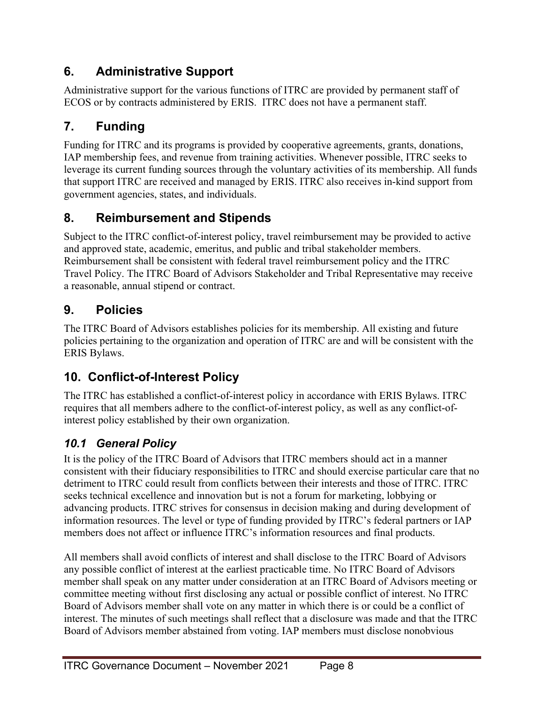# **6. Administrative Support**

Administrative support for the various functions of ITRC are provided by permanent staff of ECOS or by contracts administered by ERIS. ITRC does not have a permanent staff.

# **7. Funding**

Funding for ITRC and its programs is provided by cooperative agreements, grants, donations, IAP membership fees, and revenue from training activities. Whenever possible, ITRC seeks to leverage its current funding sources through the voluntary activities of its membership. All funds that support ITRC are received and managed by ERIS. ITRC also receives in-kind support from government agencies, states, and individuals.

# **8. Reimbursement and Stipends**

Subject to the ITRC conflict-of-interest policy, travel reimbursement may be provided to active and approved state, academic, emeritus, and public and tribal stakeholder members. Reimbursement shall be consistent with federal travel reimbursement policy and the ITRC Travel Policy. The ITRC Board of Advisors Stakeholder and Tribal Representative may receive a reasonable, annual stipend or contract.

## **9. Policies**

The ITRC Board of Advisors establishes policies for its membership. All existing and future policies pertaining to the organization and operation of ITRC are and will be consistent with the ERIS Bylaws.

# **10. Conflict-of-Interest Policy**

The ITRC has established a conflict-of-interest policy in accordance with ERIS Bylaws. ITRC requires that all members adhere to the conflict-of-interest policy, as well as any conflict-ofinterest policy established by their own organization.

## *10.1 General Policy*

It is the policy of the ITRC Board of Advisors that ITRC members should act in a manner consistent with their fiduciary responsibilities to ITRC and should exercise particular care that no detriment to ITRC could result from conflicts between their interests and those of ITRC. ITRC seeks technical excellence and innovation but is not a forum for marketing, lobbying or advancing products. ITRC strives for consensus in decision making and during development of information resources. The level or type of funding provided by ITRC's federal partners or IAP members does not affect or influence ITRC's information resources and final products.

All members shall avoid conflicts of interest and shall disclose to the ITRC Board of Advisors any possible conflict of interest at the earliest practicable time. No ITRC Board of Advisors member shall speak on any matter under consideration at an ITRC Board of Advisors meeting or committee meeting without first disclosing any actual or possible conflict of interest. No ITRC Board of Advisors member shall vote on any matter in which there is or could be a conflict of interest. The minutes of such meetings shall reflect that a disclosure was made and that the ITRC Board of Advisors member abstained from voting. IAP members must disclose nonobvious